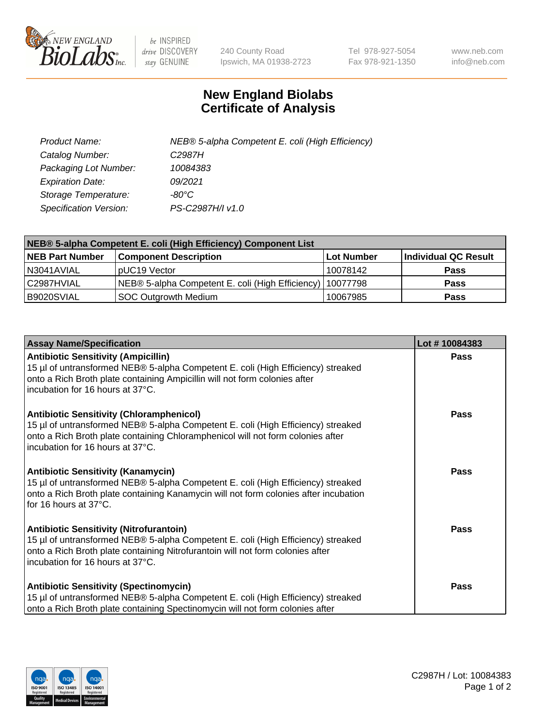

 $be$  INSPIRED drive DISCOVERY stay GENUINE

240 County Road Ipswich, MA 01938-2723 Tel 978-927-5054 Fax 978-921-1350 www.neb.com info@neb.com

## **New England Biolabs Certificate of Analysis**

| Product Name:           | NEB® 5-alpha Competent E. coli (High Efficiency) |
|-------------------------|--------------------------------------------------|
| Catalog Number:         | C <sub>2987</sub> H                              |
| Packaging Lot Number:   | 10084383                                         |
| <b>Expiration Date:</b> | 09/2021                                          |
| Storage Temperature:    | -80°C                                            |
| Specification Version:  | PS-C2987H/I v1.0                                 |

| NEB® 5-alpha Competent E. coli (High Efficiency) Component List |                                                             |            |                      |  |
|-----------------------------------------------------------------|-------------------------------------------------------------|------------|----------------------|--|
| <b>NEB Part Number</b>                                          | <b>Component Description</b>                                | Lot Number | Individual QC Result |  |
| N3041AVIAL                                                      | pUC19 Vector                                                | 10078142   | <b>Pass</b>          |  |
| C2987HVIAL                                                      | NEB® 5-alpha Competent E. coli (High Efficiency)   10077798 |            | <b>Pass</b>          |  |
| B9020SVIAL                                                      | SOC Outgrowth Medium                                        | 10067985   | <b>Pass</b>          |  |

| <b>Assay Name/Specification</b>                                                                                                                                                                                                                            | Lot #10084383 |
|------------------------------------------------------------------------------------------------------------------------------------------------------------------------------------------------------------------------------------------------------------|---------------|
| <b>Antibiotic Sensitivity (Ampicillin)</b><br>15 µl of untransformed NEB® 5-alpha Competent E. coli (High Efficiency) streaked<br>onto a Rich Broth plate containing Ampicillin will not form colonies after<br>incubation for 16 hours at 37°C.           | <b>Pass</b>   |
| <b>Antibiotic Sensitivity (Chloramphenicol)</b><br>15 µl of untransformed NEB® 5-alpha Competent E. coli (High Efficiency) streaked<br>onto a Rich Broth plate containing Chloramphenicol will not form colonies after<br>incubation for 16 hours at 37°C. | Pass          |
| Antibiotic Sensitivity (Kanamycin)<br>15 µl of untransformed NEB® 5-alpha Competent E. coli (High Efficiency) streaked<br>onto a Rich Broth plate containing Kanamycin will not form colonies after incubation<br>for 16 hours at 37°C.                    | Pass          |
| <b>Antibiotic Sensitivity (Nitrofurantoin)</b><br>15 µl of untransformed NEB® 5-alpha Competent E. coli (High Efficiency) streaked<br>onto a Rich Broth plate containing Nitrofurantoin will not form colonies after<br>incubation for 16 hours at 37°C.   | <b>Pass</b>   |
| <b>Antibiotic Sensitivity (Spectinomycin)</b><br>15 µl of untransformed NEB® 5-alpha Competent E. coli (High Efficiency) streaked<br>onto a Rich Broth plate containing Spectinomycin will not form colonies after                                         | Pass          |